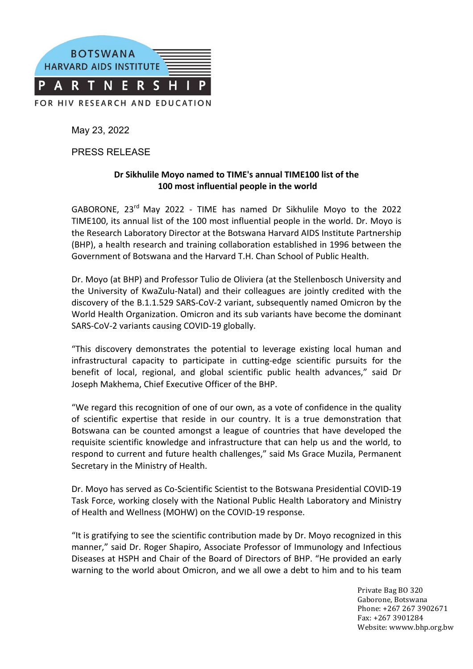

May 23, 2022

PRESS RELEASE

## Dr Sikhulile Movo named to TIME's annual TIME100 list of the **100 most influential people in the world**

GABORONE,  $23^{rd}$  May 2022 - TIME has named Dr Sikhulile Moyo to the 2022 TIME100, its annual list of the 100 most influential people in the world. Dr. Moyo is the Research Laboratory Director at the Botswana Harvard AIDS Institute Partnership (BHP), a health research and training collaboration established in 1996 between the Government of Botswana and the Harvard T.H. Chan School of Public Health.

Dr. Moyo (at BHP) and Professor Tulio de Oliviera (at the Stellenbosch University and the University of KwaZulu-Natal) and their colleagues are jointly credited with the discovery of the B.1.1.529 SARS-CoV-2 variant, subsequently named Omicron by the World Health Organization. Omicron and its sub variants have become the dominant SARS-CoV-2 variants causing COVID-19 globally.

"This discovery demonstrates the potential to leverage existing local human and infrastructural capacity to participate in cutting-edge scientific pursuits for the benefit of local, regional, and global scientific public health advances," said Dr Joseph Makhema, Chief Executive Officer of the BHP.

"We regard this recognition of one of our own, as a vote of confidence in the quality of scientific expertise that reside in our country. It is a true demonstration that Botswana can be counted amongst a league of countries that have developed the requisite scientific knowledge and infrastructure that can help us and the world, to respond to current and future health challenges," said Ms Grace Muzila, Permanent Secretary in the Ministry of Health.

Dr. Moyo has served as Co-Scientific Scientist to the Botswana Presidential COVID-19 Task Force, working closely with the National Public Health Laboratory and Ministry of Health and Wellness (MOHW) on the COVID-19 response.

"It is gratifying to see the scientific contribution made by Dr. Moyo recognized in this manner," said Dr. Roger Shapiro, Associate Professor of Immunology and Infectious Diseases at HSPH and Chair of the Board of Directors of BHP. "He provided an early warning to the world about Omicron, and we all owe a debt to him and to his team

> Private Bag BO 320 Gaborone, Botswana Phone: +267 267 3902671 Fax: +267 3901284 Website: wwww.bhp.org.bw